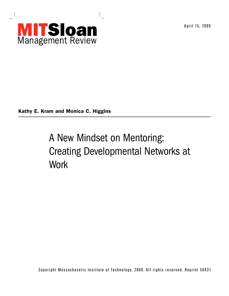

April 15, 2009

Kathy E. Kram and Monica C. Higgins

# A New Mindset on Mentoring: Creating Developmental Networks at **Work**

Copyright Massachusetts Institute of Technology, 2009. All rights reserved. Reprint 50431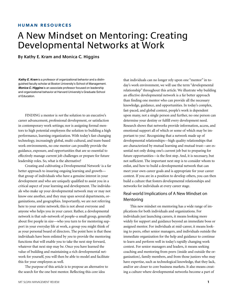# HUMAN RESOURCES

# A New Mindset on Mentoring: Creating Developmental Networks at Work

**By Kathy E. Kram and Monica C. Higgins**

*Kathy E. Kram* is a professor of organizational behavior and a distinguished faculty scholar at Boston University's School of Management. *Monica C. Higgins* is an associate professor focused on leadership and organizational behavior at Harvard University's Graduate School of Education.

FINDING a mentor is *not* the solution to an executive's career advancement, professional development, or satisfaction in contemporary work settings; nor is assigning formal mentors to high potential employees the solution to building a high performance, learning organization. With today's fast-changing technology, increasingly global, multi-cultural, and team-based work environments, no one mentor can possibly provide the guidance, exposure, and opportunities that are so essential to effectively manage current job challenges or prepare for future leadership roles. So, what is the alternative?

Creating and cultivating a Developmental Network<sup>1</sup> is a far better approach to insuring ongoing learning and growth that group of individuals who have a genuine interest in your development and who are uniquely qualified to assist you in a critical aspect of your learning and development. The individuals who make up your developmental network may or may not know one another, and they may span several departments, organizations, and geographies. Importantly, we are not referring here to your entire network; this is not about everyone and anyone who helps you in your career. Rather, a developmental network is that sub-network of people–a small group, generally about five people in size—who you turn to for mentoring support in your everyday life at work, a group you might think of as your personal board of directors. The point here is that these individuals have been enlisted by *you* to provide the mentoring functions that will enable you to take the next step forward, whatever that next step may be. Once you have learned the value of building and maintaining a rich developmental network for yourself, you will then be able to model and facilitate this for your employees as well.

The purpose of this article is to propose an alternative to the search for the one best mentor. Reflecting this core idea

that individuals can no longer rely upon one "mentor" in today's work environment, we will use the term "developmental relationship" throughout this article. We illustrate why building an effective developmental network is a far better approach than finding one mentor who can provide all the necessary knowledge, guidance, and opportunities. In today's complex, fast-paced, and global context, people's work is dependent upon many, not a single person and further, no one person can determine your destiny or fulfill every development need. Research shows that networks provide information, access, and emotional support all of which or some of which may be important to you**<sup>2</sup>** . Recognizing that a network made up of developmental relationships—high quality relationships that are characterized by mutual learning and mutual trust—are essential not only doing one's current job but to preparing for future opportunities—is the first step. And, it is necessary, but not sufficient. The important next step is to consider whom to enlist, and how to build a developmental network that can meet your own career goals and is appropriate for your career context. If you are in a position to develop others, you can then build a culture that fosters developmental relationships and networks for individuals at every career stage.

# Real-world Implications of A New Mindset on Mentoring

This new mindset on mentoring has a wide range of implications for both individuals and organizations. For individuals just launching careers, it means looking more widely for support and guidance beyond an immediate boss or assigned mentor. For individuals at mid-career, it means looking to peers, other senior managers, and individuals outside the immediate organization for the help and guidance to continue to learn and perform well in today's rapidly changing work context. For senior managers and leaders, it means seeking coaching and mentoring from peers (inside and outside the organization), family members, and from those juniors who may have expertise, such as technological knowledge, that they lack, and/or are closer to core business markets. It also means creating a culture where developmental networks become a part of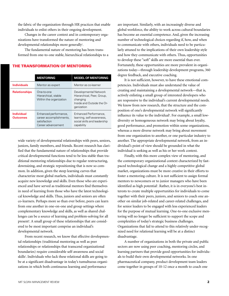the fabric of the organization through HR practices that enable individuals to enlist others in their ongoing development.

Changes in the career context and in contemporary organizations have transformed the nature of mentoring and developmental relationships more generally<sup>3</sup>.

The fundamental nature of mentoring has been transformed from one-to-one stable, hierarchical relationships to a

### THE TRANSFORMATION OF MENTORING

|                                      | <b>MENTORING</b>                                                                       | <b>MODEL OF MENTORING</b>                                                                                   |
|--------------------------------------|----------------------------------------------------------------------------------------|-------------------------------------------------------------------------------------------------------------|
| <b>Individuals</b>                   | Mentor as expert                                                                       | Mentor as co-learner                                                                                        |
| <b>Relationships</b>                 | One-to-one<br>Hierarchical, stable<br>Within the organization                          | Developmental Network<br>Hierarchical, Peer, Group,<br>changing<br>Inside and Outside the Or-<br>ganization |
| <b>Individual</b><br><b>Outcomes</b> | Enhanced performance,<br>career accomplishments,<br>satisfaction<br>Career advancement | Enhanced Performance,<br>learning, self-awareness,<br>social skills and leadership<br>capability            |

wide variety of developmental relationships with peers, seniors, juniors, family members, and friends. Recent research has clarified that the fundamental nature of relationships that provide critical developmental functions tend to be less stable than traditional mentoring relationships due to regular restructuring, downsizing, and strategic repositioning that is now so common. In addition, given the steep learning curves that characterize most global markets, individuals must constantly acquire new knowledge and skills. Even those who are experienced and have served as traditional mentors find themselves in need of learning from those who have the latest technological knowledge and skills. Thus, juniors and seniors are often co-learners. Perhaps more so than ever before, peers can learn from one another in one-on-one and group settings where complementary knowledge and skills, as well as shared challenges can be a source of learning and problem-solving for all present<sup>4</sup>. A small group of these relationships that are considered to be most important comprise an individual's developmental network.

From recent research, we know that effective developmental relationships (traditional mentoring as well as peer relationships or relationships that transcend organizational boundaries) require considerable self-awareness and social skills<sup>5</sup>. Individuals who lack these relational skills are going to be at a significant disadvantage in today's tumultuous organizations in which both continuous learning and performance

are important. Similarly, with an increasingly diverse and global workforce, the ability to work across cultural boundaries has become an essential competence. And, given the increasing number of technological choices regarding if, how, and when to communicate with others, individuals need to be particularly attuned to the implications of their own leadership style and how they communicate with others. Thus, opportunities to develop these "soft" skills are more essential than ever. Fortunately, these opportunities are more prevalent in organizations today—through leadership development programs, 360 degree feedback, and executive coaching.

It is not sufficient, however, to have these emotional competencies. Individuals must also understand the value of creating and maintaining a developmental network—that is, actively enlisting a small group of interested developers who are responsive to the individual's current developmental needs. We know from new research, that the structure and the composition of one's developmental network will significantly influence its value to the individual<sup>6</sup>. For example, a small lowdiversity or homogeneous network may bring about loyalty, good performance, and promotion within some organizations, whereas a more diverse network may bring about movement from one organization to another, or one particular industry to another. The appropriate developmental network, from an individual's point of view should be grounded in what the individual is seeking as well as his or her work context.

Finally, with this more complex view of mentoring, and the contemporary organizational context characterized by fastpaced technological change and a highly competitive global market, organizations must be more creative in their efforts to foster a mentoring culture. It is not sufficient to assign formal mentors to newcomers or to junior managers who have been identified as high potential**<sup>7</sup>** . Rather, it is in everyone's best interests to create multiple opportunities for individuals to come together with their peers, juniors, and seniors to coach one another on similar job-related and career-related challenges, and for senior leaders to be engaged with less experienced leaders for the purpose of mutual learning. One-to-one exclusive mentoring will no longer be sufficient to support the scope and complexities of today's strategic business challenges. Organizations that fail to attend to this relatively under-recognized need for relational learning will be at a distinct disadvantage.

A number of organizations in both the private and public sectors are now using peer coaching, mentoring circles, and learning partners that provide good opportunities for individuals to build their own developmental networks. In one pharmaceutical company, product development team leaders come together in groups of 10-12 once a month to coach one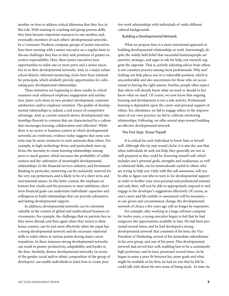another on how to address critical dilemmas that they face in this role. With training in coaching and group process skills, they have become important resources to one another, and, eventually, members of each others' developmental networks. In a Consumer Products company, groups of junior executives have been meeting with a senior executive on a regular basis to discuss challenges they face as they seek positions of greater executive responsibility. Here, these junior executives have opportunities to enlist one or more peers and a senior executive in to their developmental networks. And, in a major urban school district, informal mentoring circles have been initiated for principals, which similarly provide opportunities for cultivating peer developmental relationships.

These initiatives are beginning to show results in critical measures such enhanced employee engagement and satisfaction, faster cycle times in new product development, customer satisfaction, and/or employee retention. The quality of developmental relationships is, indeed, a real source of competitive advantage. And, as current research shows, developmental relationships flourish in contexts that are characterized by a culture that encourages learning, collaboration and reflection<sup>8</sup>. While there is no sector or business context in which developmental networks are irrelevant, evidence today suggests that some contexts may be more conducive to such networks than others. For example, in high-technology firms, and particularly start-up firms, the necessity to create learning relationships among peers is much greater, which increases the probability of collaboration and the cultivation of meaningful developmental relationships. In the financial services industry, and Investment Banking in particular, mentoring can be exclusively reserved for the very top performers, and is likely to be of a short term and instrumental nature. In this latter context, the emphasis on bottom line results and the pressures to meet ambitious, short term financial goals can undermine individuals' capacities and willingness to build relationships that can provide substantive and lasting developmental support.

In addition, developmental networks can be extremely valuable in the context of global and multicultural business environments. For example, the challenges that ex-patriots face as they move abroad, and then again when they return to their home country, can be met most effectively when the expat has a strong developmental network and the necessary relational skills to enlist others at various points during major career transitions. In these instances strong developmental networks can result in greater productivity, adaptability, and loyalty to the firm. Similarly, diverse developmental networks (in terms of the gender, racial and/or ethnic composition of the group of developers) can enable individuals to learn how to create positive work relationships with individuals of vastly different cultural backgrounds.

Building a Developmental Network

What we propose here is a more intentional approach to building developmental relationships at work. Interestingly, despite the widely held belief that successful businesspeople are assertive, strategic, and eager to ask for help, our research suggests the opposite. That is, actively soliciting advice from others is not common practice among most professionals. Why not? Seeking out help places one in a vulnerable position, which is uncomfortable and also uncommon for those who are accustomed to having the right answer. Further, people often expect that others will already know what we need or should in fact know what we need<sup>9</sup>. Of course, we now know that ongoing learning and development is not a solo activity. Professional learning is dependent upon the career and personal support of others. Yet, oftentimes, we fail to engage others in the improvement of our own practice; we fail to cultivate mentoring relationships. Following, we offer several steps toward building an effective developmental network.

#### The First Step: Know Thyself

It is critical for each individual to know him or herself well. Although this tip may sound cliché, it is also the case that when individuals do seek out help, they generally are not as well-prepared as they could be. Knowing oneself well, which includes one's personal goals, strengths and weaknesses, as well as relational skills, can be tremendously useful to others who are trying to help you. Only with this self-awareness, will you be able to figure out who to turn to for developmental support in order to further your own personal and professional journey and only then, will you be able to appropriately respond to and engage in the developer's suggestions effectively. Of course, as one's career and life unfold, re-assessment will be necessary as one grows and circumstances change, the developmental network of choice a few years ago will no longer be responsive.

For example, after working in a large software company for twelve years, a young executive began to feel that he had outgrown the opportunities available to him. He had been promoted several times, and he had developed a strong developmental network that consisted of his boss, the Vice President of Marketing, several of his immediate subordinates in his own group, and one of his peers. This developmental network had served him well, enabling him to be a consistently high performer, and in turn, promoted several times. As he began to sense a poor fit between his career goals and what might be available at his firm, he had no one that he felt he could talk with about his new sense of being stuck. In time, he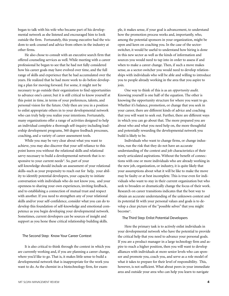began to talk with his wife who became part of his developmental network as she listened and encouraged him to look outside the firm. Fortunately, this young executive had the wisdom to seek counsel and advice from others in the industry at other firms.

He also chose to consult with an executive search firm that offered counseling services as well. While meeting with a career professional he began to see that he had not fully considered how his career goals may have evolved over time, and the full range of skills and experience that he had accumulated over the years. He realized that he had more work to do before developing a plan for moving forward. For some, it might not be necessary to go outside their organization to find opportunities to advance one's career, but it is still critical to know yourself at this point in time, in terms of your preferences, talents, and personal vision for the future. Only then are you in a position to enlist appropriate others in to your developmental network who can truly help you realize your intentions. Fortunately, many organizations offer a range of activities designed to help an individual complete a thorough self-inquiry including leadership development programs, 360 degree feedback processes, coaching, and a variety of career assessment tools.

While you may be very clear about what you want to achieve, you may also discover that your self-reliance to this point leaves you without the relational skills and relational savvy necessary to build a developmental network that is responsive to your current needs<sup>10</sup>. So, part of your self-knowledge should include an assessment of your relational skills–such as your propensity to reach out for help, your ability to identify potential developers, your capacity to initiate conversation with individuals who do not know you, and your openness to sharing your own experiences, inviting feedback, and to establishing a connection of mutual trust and respect with another. If you need to strengthen any of your relational skills and/or your self-confidence, consider what you can do to develop this foundation of self-knowledge and emotional competence as you begin developing your developmental network. Sometimes, current developers can be sources of insight and support as you hone these critical relationship building skills.

#### The Second Step: Know Your Career Context

It is also critical to think through the context in which you are currently working and, if you are planning a career change, where you'd like to go. That is, it makes little sense to build a developmental network that is inappropriate for the work you want to do. As the chemist in a biotechnology firm, for example, it makes sense, if your goal is advancement, to understand how the promotion process works and, importantly, who, among the potential sponsors in your organization, might be open and keen on coaching you. In the case of the sectorswitcher, it would be useful to understand how hiring is done in this new sector as well as the kinds of information and sources you would need to tap into in order to assess if and when to make a career change. Then, if such a move makes sense, as a sector-switcher you would need to develop relationships with individuals who will be able and willing to introduce you to people already working in the area that you aspire to join.

One way to think of this is as an *opportunity audit*. Knowing yourself is one half of the equation. The other is knowing the opportunity structure for where you want to go. Whether it's balance, promotion, or change that you seek in your career, there are different kinds of advice and coaching that you will want to seek out. Further, there are different ways in which you can go about that. The more prepared you are about who and what you need help on, the more thoughtful and potentially rewarding the developmental network you build is likely to be.

Individuals who want to change firms, or change industries, run the risk that they do not have an accurate understanding of the context and job characteristics of their newly articulated aspirations. Without the benefit of connections with one or more individuals who are already working in the new job, organization, or industry, it is quite likely that your assumptions about what it will be like to make the move may be faulty or at best incomplete. This is true even for individuals who want to stay in their current organization but who seek to broaden or dramatically change the focus of their work. Research on career transitions indicates that the best way to obtain an accurate understanding of the unknown context and its potential fit with your personal values and goals is to develop a clear picture of the "possible selves" that you might become**11**.

#### The Third Step: Enlist Potential Developers

Here the primary task is to actively enlist individuals in your developmental network who have the potential to provide the critical help that you need to advance your personal goals. If you are a product manager in a large technology firm and aspire to reach a higher position, then you will want to develop alliances with individuals at more senior levels who can sponsor and promote you, coach you, and serve as a role model of what it takes to prepare for their level of responsibility. This, however, is not sufficient. What about peers in your immediate area and outside your area who can help you learn to navigate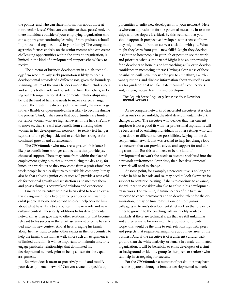the politics, and who can share information about those at more senior levels? What can you offer to these peers? And, are there individuals outside of your employing organization who can support your continuing learning? From graduate school? In professional organizations? In your family? The young manager who focuses entirely on the senior mentor who can create challenging opportunities within the current organization, is limited in the kind of developmental support s/he is likely to receive.

The director of business development in a high-technology firm who similarly seeks promotion is likely to need a developmental network of a different sort, given the boundaryspanning nature of the work he does —one that includes peers and seniors both inside and outside the firm. For others, seeking out extraorganizational developmental relationships may be just the kind of help she needs to make a career change. Indeed, the greater the diversity of the network, the more cognitively flexible or open-minded she is likely to become during the process**12**. And, if she senses that opportunities are limited for senior women who are high achievers in the field she'd like to move to, then she will also benefit from enlisting other women in her developmental network—to reality test her perceptions of the playing field, and to enrich her strategies for continued growth and advancement.

The CEO/founder who now seeks greater life balance is likely to benefit from stronger connections that provide psychosocial support. These may come from within the place of employment giving him that support during the day (e.g., for lunch or a workout) or they may come from a professional network, people he can easily turn to outside his company. It may also be that enlisting junior colleagues will provide a new vehicle for personal growth and satisfaction as he mentors them and passes along his accumulated wisdom and experience.

Finally, the executive who has been asked to take an expatriate assignment for a two to three year period will want to enlist people at home and abroad who can help educate him about what he is likely to encounter in the new role and new cultural context. These early additions to his developmental network may then give way to other relationships that become relevant to his success in the expat assignment once he has settled into his new context. And, if he is bringing his family along, he may want to enlist other expats in the host country to help the family transition as well. Since such an assignment is of limited duration, it will be important to maintain and/or reengage particular relationships that dominated his developmental network prior to being chosen for the expat assignment.

So, what does it mean to proactively build and modify your developmental network? Can you create the specific op-

portunities to enlist new developers in to your network? Here is where an appreciation for the potential mutuality in relationships with developers is critical. By this we mean that you should approach prospective developers with a sense of how they might benefit from an active association with you. What might they learn from you—new skills? Might they develop insight in to how people in your job or position see the world and prioritize what is important? Might it be an opportunity for a developer to hone his or her coaching skills, or to develop confidence in mentoring others? Having a clear sense of these possibilities will make it easier for you to empathize, ask relevant questions, and disclose information about yourself as you ask for guidance that will facilitate meaningful connections and, in turn, mutual learning and development.

# The Fourth Step: Regularly Reassess Your Develop- mental Network

As we compare networks of successful executives, it is clear that as one's career unfolds, the ideal developmental network changes as well. The executive who decides that her current employer is not a good fit with her professional aspirations will be best served by enlisting individuals in other settings who can open doors to different career possibilities. Relying on the developmental network that was created to help her change jobs is a network that can provide advice and support for and during transition. But this is unlikely to be the kind of developmental network she needs to become socialized into the new work environment. Over time, then, her developmental network will need to change**13**.

At some point, for example, a new executive is no longer a novice in his or her role and so, may need to look elsewhere for support to continue learning. If she is to continue to advance, she will need to consider who else to enlist in his developmental network. For example, if future leaders of the firm are expected to coach newcomers and to develop talent for the organization, it may be time to bring one or more junior colleagues in to one's developmental network so that opportunities to grow in to the coaching role are readily available. Similarly, if there are technical areas that are still unfamiliar and a pre-requisite for moving in to a position of broader scope, this would be the time to seek relationships with peers and projects that require learning more about new areas of the business. And, if the executive is of a different cultural background than the white majority, or female in a male-dominated organization, it will be beneficial to enlist developers of a similar background or identity group (either peers or seniors) who can help in strategizing for success.

For the CEO/founder, a number of possibilities may have become apparent through a broader developmental network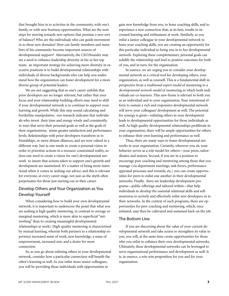that brought him in to activities in the community, with one's family, or with new business opportunities. What are the next steps for moving towards new options that promise a new sort of balance? Who are the individuals who can guide movement in to these new domains? How can family members and members of his community become important sources of developmental support? Alternatively, the CEO/founder may see a need to enhance leadership diversity in his or her top team; an important strategy for achieving more diversity in executive positions is to build developmental relationships with individuals of diverse backgrounds who can help you understand how the organization can foster development for a more diverse group of potential leaders.

We are not suggesting that as one's career unfolds that prior developers are no longer relevant, but rather that your focus and your relationship-building efforts may need to shift if your developmental network is to continue to support your learning and growth. While this may sound calculating and borderline manipulative, our research indicates that individuals who invest their time and energy wisely and consistently, in ways that serve their personal goals as well as the goals of their organizations, attain greater satisfaction and performance levels. Relationships with prior developers transform in to friendships, or more distant alliances, and are now valued in a different way. Just as one needs to create a personal vision in order to prioritize actions in a resource constrained reality, so does one need to create a vision for one's developmental network to insure that actions taken to support one's growth and development are maximized. It's a matter of being more intentional when it comes to seeking out advice, and this is relevant for everyone, at every career stage, not just–as the myth often perpetuates–for those just starting out in their career.

# Develop Others and Your Organization as You Develop Yourself

When considering how to build your own developmental network, it is important to underscore the point that what you are seeking is high quality mentoring, in contrast to average or marginal mentoring, which is more akin to superficial "networking" than to creating meaningful developmental relationships at work). High-quality mentoring is characterized by mutual learning, wherein both partners to a relationship experience increased sense of work, new knowledge, a sense of empowerment, increased zest, and a desire for more connection.

So, as you go about enlisting others in your developmental network, consider how a particular connection will benefit the other's learning as well. As you enlist more senior colleagues, you will be providing those individuals with opportunities to

gain new knowledge from you, to hone coaching skills, and to experience a new connection that, at its best, results in increased learning and enthusiasm at work. Similarly, as you enlist a junior colleague in your developmental network to hone your coaching skills, you are creating an opportunity for this particular individual to bring you in to her developmental network. Exploring these complementary personal goals can solidify the relationship and lead to positive outcomes for both of you, and in turn, for the organization.

In essence, we are urging you to consider your developmental network as a critical tool for developing others, your organization, as well as yourself. This is a fundamental shift in perspective from a *traditional expert model* of mentoring to a *developmental network model* of mentoring in which both individuals are co-learners. This new frame is relevant to both you as an individual and to your organization. Your intentional efforts to sustain a rich and responsive developmental network will serve your colleagues' development as well. The potential for synergy is great—enlisting others in your development leads to developmental opportunities for those individuals as well. As high quality developmental relationships proliferate in your organization, there will be ample opportunities for others to enhance their own learning and performance as well.

Thus, there are many ways to foster developmental networks in your organization. Certainly, wherever you sit, your behavior serves as a role model for others—your peers, subordinates and seniors. Second, if you are in a position to encourage peer coaching and mentoring among those that you manage (via department meetings, task forces, performance appraisal processes and rewards, etc.) you can create opportunities for peers to enlist one another in their developmental networks. Finally, there are leadership development programs—public offerings and tailored within—that help individuals to develop the essential relational skills and selfawareness to actively and effectively enlist new developers in to their networks. In the context of such programs, there are opportunities for peer coaching and mentoring, which, once initiated, may then be cultivated and sustained back on the job.

### The Bottom Line

If you are discerning about the value of your current developmental network and take action to strengthen its value to you, you will, at the same time create opportunities for those who you enlist to enhance their own developmental networks. Ultimately, these developmental networks can be leveraged to serve organizational performance and development as well. It is, in essence, a win-win proposition for you and for your organization.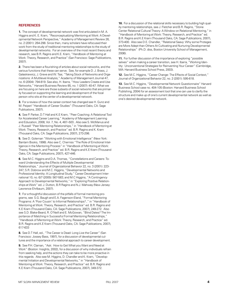#### **REFERENCES**

**1.** The concept of developmental network was first articulated in M. A. Higgins and K. E. Kram, "Reconceptualizing Mentoring at Work: A Developmental Network Perspective," Academy of Management Review 26, no. 2 (2001): 264-298. Since then, many scholars have refocused their work from the study of traditional mentoring relationships to the study of developmental networks. For an overview of the most recent theory and research, see B.R. Ragins and K.E. Kram, "Handbook of Mentoring at Work: Theory, Research, and Practice" (San Francisco: Sage Publications, 2007).

**2.** There has been a flourishing of articles about social networks, and the various functions that these can serve. See, for example D. J. Brass, J. Galaskiewicz, J. Greve and W. Tsai, "Taking Stock of Networks and Organizations: A Multilevel Analysis," Academy of Management Journal 47, no. 6 (2004): 794-819. See also, H. Ibarra, "How Leaders Create and Use Networks," Harvard Business Review 85, no. 1 (2007): 40-47. What we are focusing on here are those subsets of social networks that are primarily focused on supporting the learning and development of the focal person who sits at the center of a developmental network.

**3.** For a review of how the career context has changed see H. Gunz and M. Peiperl "Handbook of Career Studies" (Thousand Oaks, CA: Sage Publications, 2007).

**4.** See P. Parker, D.T Hall and K.E Kram, "Peer Coaching: A Relational Tool for Accelerated Career Learning," Academy of Management Learning and Education, 2008, Vol. 7, No. 4, 487–503.. Also see S. McManus and J. Russell "Peer Mentoring Relationships," in "Handbook of Mentoring at Work: Theory, Research, and Practice" ed. B.R. Ragins and K. Kram (Thousand Oaks, CA: Sage Publications, 2007), 273-298.

**5.** See D. Goleman "Working with Emotional Intelligence" (New York: Bantam Books, 1998). Also see C. Cherniss "The Role of Emotional Intelligence in the Mentoring Process" in "Handbook of Mentoring at Work: Theory, Research, and Practice" ed. B.R. Ragins and K.E Kram (Thousand Oaks, CA: Sage Publications, 2007), 427-446.

**6.** See M.C. Higgins and D.A. Thomas, "Constellations and Careers: Toward Understanding the Effects of Multiple Developmental Relationships," Journal of Organizational Behavior 22, no. 3 (2001): 223- 247; S.R. Dobrow and M.C. Higgins, "Developmental Networks and Professional Identity: A Longitudinal Study," Career Development International 10, no. 6/7 (2005): 567-583; and M.C Higgins, "A Contingency Approach to Developmental Networks," in "Exploring Positive Relationships at Work" ed. J. Dutton, B.R Ragins and N.J. Mahway (New Jersey: Lawrence Ehrlbaum, 2007).

**7.** For a thoughtful discussion of the pitfalls of formal mentoring programs, see S.G. Baugh and E.A. Fagenson-Eland, "Formal Mentoring Programs: A 'Poor Cousin' to Informal Relationships? ," in "Handbook of Mentoring at Work: Theory, Research, and Practice" ed. B.R. Ragins and K.E Kram (Thousand Oaks, CA: Sage Publications, 2007), 249-272. Also see S.D. Blake-Beard, R. O'Neill and E. McGowan, "Blind Dates? The Importance of Matching in Successful Formal Mentoring Relationships," "Handbook of Mentoring at Work: Theory, Research, and Practice" ed. B.R. Ragins and K.E Kram (Thousand Oaks, CA: Sage Publications, 2007), 617-633

**8.** See D.T Hall, ed., "The Career is Dead: Long Live the Career" (San Francisco: Jossey Bass, 1997), for a discussion of developmental cultures and the importance of a relational approach to career development.

**9.** See P.H. Claman, "Ask: How to Get What you Want and Need at Work" (Boston: Insights, 2002), for a discussion of why individuals refrain from seeking help, and the actions they can take to be more proactive in this regards. Also see M. Higgins, D. Chandler and K. Kram, "Developmental Initiation and Developmental Networks," in "Handbook of Mentoring at Work: Theory, Research, and Practice" ed. B.R. Ragins and K.E Kram (Thousand Oaks, CA: Sage Publications, 2007), 349-372.

**10.** For a discussion of the relational skills necessary to building high quality mentoring relationships, see J. Fletcher and B.R. Ragins, "Stone Center Relational Cultural Theory: A Window on Relational Mentoring," in "Handbook of Mentoring at Work: Theory, Research, and Practice" ed. B.R. Ragins and K.E Kram (Thousand Oaks, CA: Sage Publications, 2007), 373-400. Also see D.E. Chandler, "Relational Saavy: Why some Proteges are More Adept than Others At Cultivating and Nurturing Developmental Relationships" (Ph.D. diss, Boston University School of Management, 2006).

**11.** For further discussion of the importance of exploring "possible" selves" when making a career transition, see H. Ibarra, "Working Identity: Unconventional Strategies for Reinventing Your Career" (Cambridge, MA: Harvard Business School Press, 2003).

**12.** See M.C. Higgins, "Career Change: The Effects of Social Context," Journal of Organizational Behavior 22, no. 2 (2001): 595-618.

**13.** See M.C. Higgins, "Developmental Network Questionnaire" Harvard Business School case no. 404-105 (Boston: Harvard Business School Publishing, 2004) for an assessment tool that one can use to clarify the structure and make up of one's current developmental network as well as one's desired developmental network.